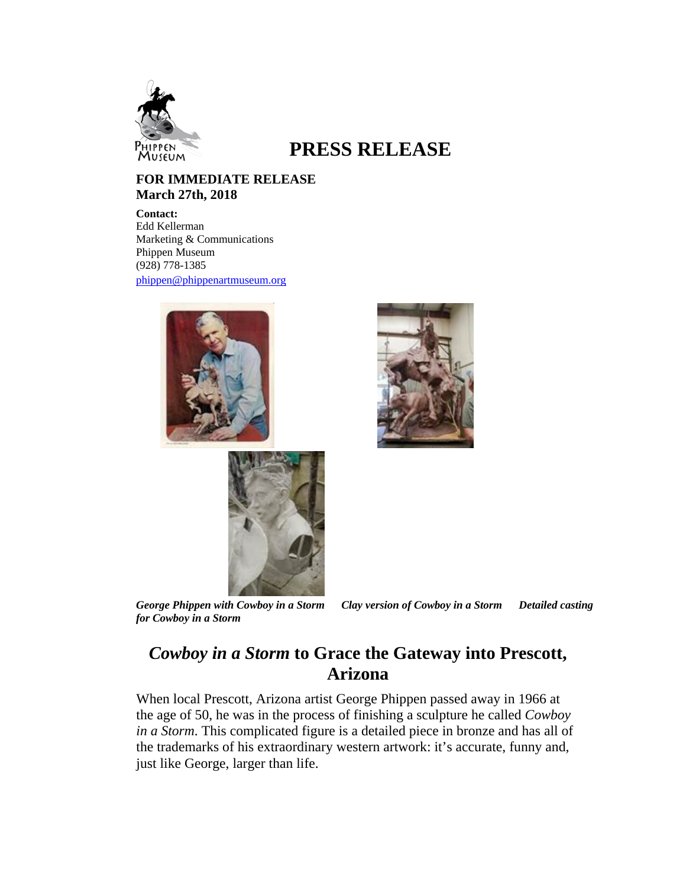

## **PRESS RELEASE**

## **FOR IMMEDIATE RELEASE March 27th, 2018**

**Contact:** Edd Kellerman Marketing & Communications Phippen Museum (928) 778-1385 phippen@phippenartmuseum.org







*for Cowboy in a Storm* 

*George Phippen with Cowboy in a Storm Clay version of Cowboy in a Storm Detailed casting* 

## *Cowboy in a Storm* **to Grace the Gateway into Prescott, Arizona**

When local Prescott, Arizona artist George Phippen passed away in 1966 at the age of 50, he was in the process of finishing a sculpture he called *Cowboy in a Storm*. This complicated figure is a detailed piece in bronze and has all of the trademarks of his extraordinary western artwork: it's accurate, funny and, just like George, larger than life.